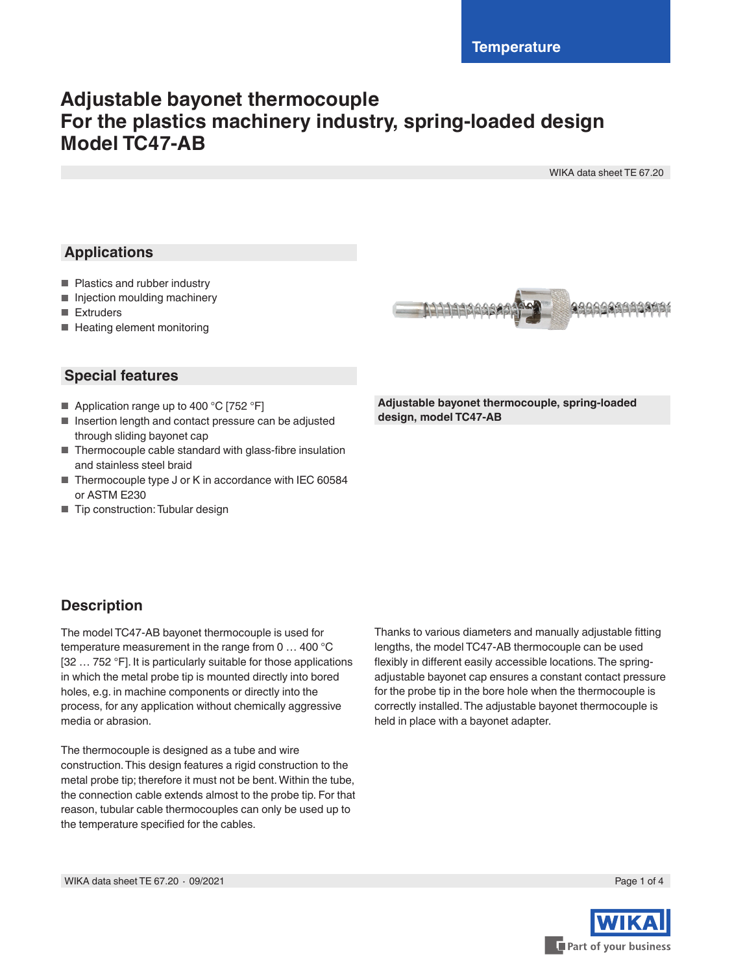# **Adjustable bayonet thermocouple For the plastics machinery industry, spring-loaded design Model TC47-AB**

WIKA data sheet TE 67.20

# **Applications**

- Plastics and rubber industry
- Injection moulding machinery
- Extruders
- Heating element monitoring



## **Special features**

- Application range up to 400 °C [752 °F]
- Insertion length and contact pressure can be adjusted through sliding bayonet cap
- Thermocouple cable standard with glass-fibre insulation and stainless steel braid
- Thermocouple type J or K in accordance with IEC 60584 or ASTM E230
- Tip construction: Tubular design

**Adjustable bayonet thermocouple, spring-loaded design, model TC47-AB**

# **Description**

The model TC47-AB bayonet thermocouple is used for temperature measurement in the range from 0 … 400 °C [32 … 752 °F]. It is particularly suitable for those applications in which the metal probe tip is mounted directly into bored holes, e.g. in machine components or directly into the process, for any application without chemically aggressive media or abrasion.

The thermocouple is designed as a tube and wire construction. This design features a rigid construction to the metal probe tip; therefore it must not be bent. Within the tube, the connection cable extends almost to the probe tip. For that reason, tubular cable thermocouples can only be used up to the temperature specified for the cables.

Thanks to various diameters and manually adjustable fitting lengths, the model TC47-AB thermocouple can be used flexibly in different easily accessible locations. The springadjustable bayonet cap ensures a constant contact pressure for the probe tip in the bore hole when the thermocouple is correctly installed. The adjustable bayonet thermocouple is held in place with a bayonet adapter.

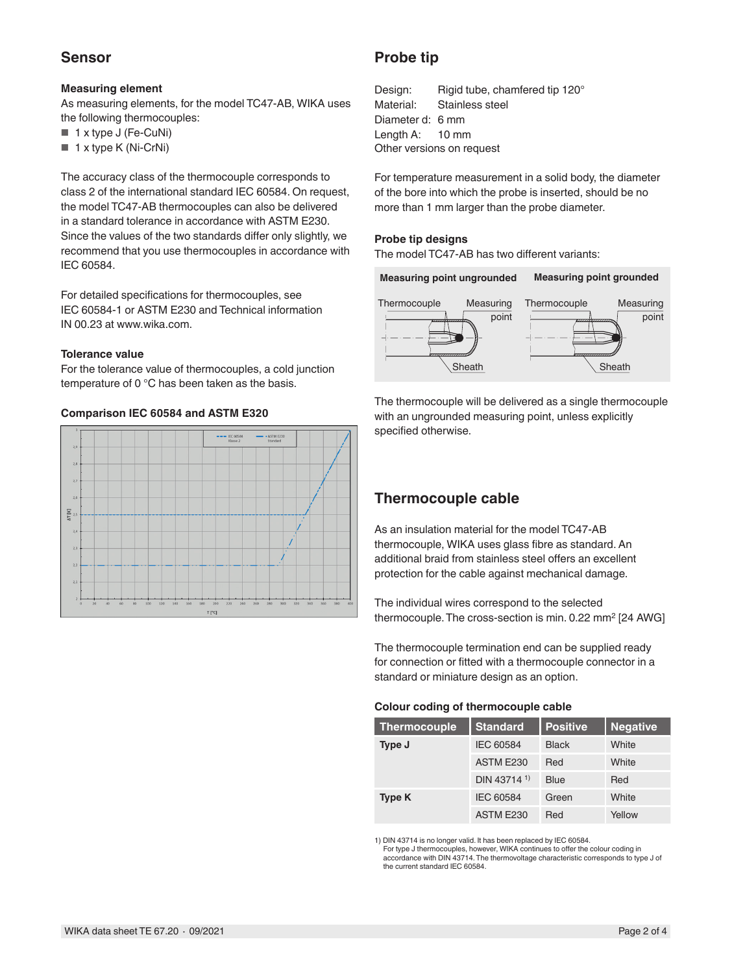### **Sensor**

#### **Measuring element**

As measuring elements, for the model TC47-AB, WIKA uses the following thermocouples:

- 1 x type J (Fe-CuNi)
- 1 x type K (Ni-CrNi)

The accuracy class of the thermocouple corresponds to class 2 of the international standard IEC 60584. On request, the model TC47-AB thermocouples can also be delivered in a standard tolerance in accordance with ASTM E230. Since the values of the two standards differ only slightly, we recommend that you use thermocouples in accordance with IEC 60584.

For detailed specifications for thermocouples, see IEC 60584-1 or ASTM E230 and Technical information IN 00.23 at www.wika.com.

#### **Tolerance value**

For the tolerance value of thermocouples, a cold junction temperature of 0 °C has been taken as the basis.

#### **Comparison IEC 60584 and ASTM E320**



## **Probe tip**

Design: Rigid tube, chamfered tip 120° Material: Stainless steel Diameter d: 6 mm Length A: 10 mm Other versions on request

For temperature measurement in a solid body, the diameter of the bore into which the probe is inserted, should be no more than 1 mm larger than the probe diameter.

#### **Probe tip designs**

The model TC47-AB has two different variants:



The thermocouple will be delivered as a single thermocouple with an ungrounded measuring point, unless explicitly specified otherwise.

## **Thermocouple cable**

As an insulation material for the model TC47-AB thermocouple, WIKA uses glass fibre as standard. An additional braid from stainless steel offers an excellent protection for the cable against mechanical damage.

The individual wires correspond to the selected thermocouple. The cross-section is min. 0.22 mm<sup>2</sup> [24 AWG]

The thermocouple termination end can be supplied ready for connection or fitted with a thermocouple connector in a standard or miniature design as an option.

#### **Colour coding of thermocouple cable**

| <b>Thermocouple</b> | <b>Standard</b>         | <b>Positive</b> | <b>Negative</b> |
|---------------------|-------------------------|-----------------|-----------------|
| Type J              | IEC 60584               | <b>Black</b>    | White           |
|                     | ASTM E230               | Red             | White           |
|                     | DIN 43714 <sup>1)</sup> | <b>Blue</b>     | Red             |
| Type K              | IEC 60584               | Green           | White           |
|                     | ASTM E230               | Red             | Yellow          |

1) DIN 43714 is no longer valid. It has been replaced by IEC 60584.

For type J thermocouples, however, WIKA continues to offer the colour coding in accordance with DIN 43714. The thermovoltage characteristic corresponds to type J of the current standard IEC 60584.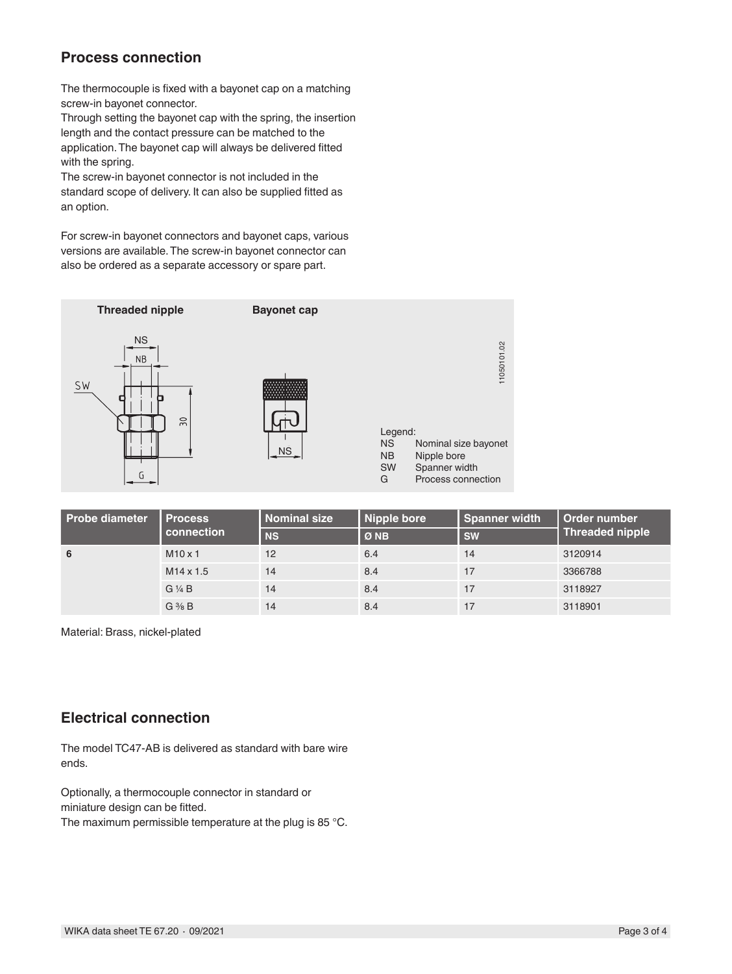## **Process connection**

The thermocouple is fixed with a bayonet cap on a matching screw-in bayonet connector.

Through setting the bayonet cap with the spring, the insertion length and the contact pressure can be matched to the application. The bayonet cap will always be delivered fitted with the spring.

The screw-in bayonet connector is not included in the standard scope of delivery. It can also be supplied fitted as an option.

For screw-in bayonet connectors and bayonet caps, various versions are available. The screw-in bayonet connector can also be ordered as a separate accessory or spare part.



| <b>Probe diameter</b> | <b>Process</b><br>connection | <b>Nominal size</b> | Nipple bore | Spanner width | Order number<br><b>Threaded nipple</b> |
|-----------------------|------------------------------|---------------------|-------------|---------------|----------------------------------------|
|                       |                              | <b>NS</b>           | ØNB         | <b>SW</b>     |                                        |
| 6                     | $M10 \times 1$               | 12                  | 6.4         | 14            | 3120914                                |
|                       | $M14 \times 1.5$             | 14                  | 8.4         | 17            | 3366788                                |
|                       | $G\frac{1}{4}B$              | 14                  | 8.4         | 17            | 3118927                                |
|                       | $G \frac{3}{8} B$            | 14                  | 8.4         | 17            | 3118901                                |

Material: Brass, nickel-plated

#### **Electrical connection**

The model TC47-AB is delivered as standard with bare wire ends.

Optionally, a thermocouple connector in standard or miniature design can be fitted.

The maximum permissible temperature at the plug is 85 °C.